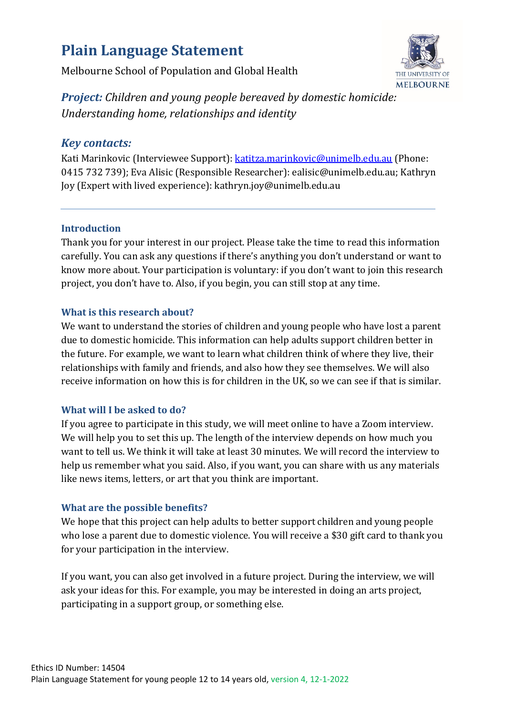# **Plain Language Statement**

Melbourne School of Population and Global Health



*Project: Children and young people bereaved by domestic homicide: Understanding home, relationships and identity*

# *Key contacts:*

Kati Marinkovic (Interviewee Support): [katitza.marinkovic@unimelb.edu.au](mailto:katitza.marinkovic@unimelb.edu.au) (Phone: 0415 732 739); Eva Alisic (Responsible Researcher): ealisic@unimelb.edu.au; Kathryn Joy (Expert with lived experience): kathryn.joy@unimelb.edu.au

## **Introduction**

Thank you for your interest in our project. Please take the time to read this information carefully. You can ask any questions if there's anything you don't understand or want to know more about. Your participation is voluntary: if you don't want to join this research project, you don't have to. Also, if you begin, you can still stop at any time.

## **What is this research about?**

We want to understand the stories of children and young people who have lost a parent due to domestic homicide. This information can help adults support children better in the future. For example, we want to learn what children think of where they live, their relationships with family and friends, and also how they see themselves. We will also receive information on how this is for children in the UK, so we can see if that is similar.

# **What will I be asked to do?**

If you agree to participate in this study, we will meet online to have a Zoom interview. We will help you to set this up. The length of the interview depends on how much you want to tell us. We think it will take at least 30 minutes. We will record the interview to help us remember what you said. Also, if you want, you can share with us any materials like news items, letters, or art that you think are important.

# **What are the possible benefits?**

We hope that this project can help adults to better support children and young people who lose a parent due to domestic violence. You will receive a \$30 gift card to thank you for your participation in the interview.

If you want, you can also get involved in a future project. During the interview, we will ask your ideas for this. For example, you may be interested in doing an arts project, participating in a support group, or something else.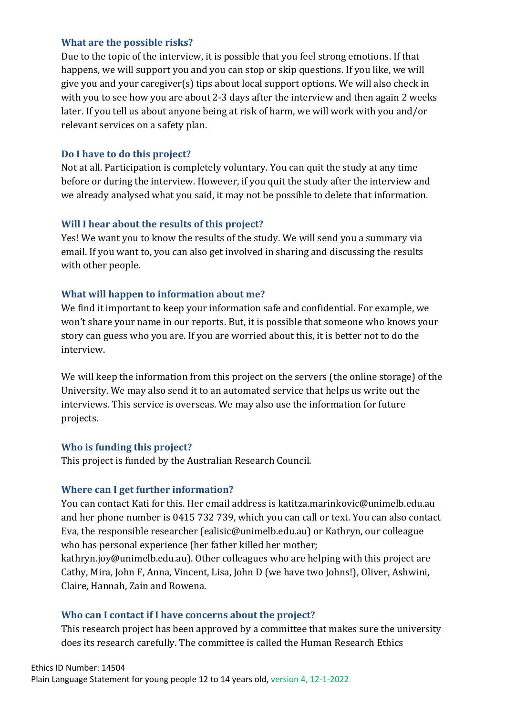#### **What are the possible risks?**

Due to the topic of the interview, it is possible that you feel strong emotions. If that happens, we will support you and you can stop or skip questions. If you like, we will give you and your caregiver(s) tips about local support options. We will also check in with you to see how you are about 2-3 days after the interview and then again 2 weeks later. If you tell us about anyone being at risk of harm, we will work with you and/or relevant services on a safety plan.

#### **Do I have to do this project?**

Not at all. Participation is completely voluntary. You can quit the study at any time before or during the interview. However, if you quit the study after the interview and we already analysed what you said, it may not be possible to delete that information.

#### **Will I hear about the results of this project?**

Yes! We want you to know the results of the study. We will send you a summary via email. If you want to, you can also get involved in sharing and discussing the results with other people.

#### **What will happen to information about me?**

We find it important to keep your information safe and confidential. For example, we won't share your name in our reports. But, it is possible that someone who knows your story can guess who you are. If you are worried about this, it is better not to do the interview.

We will keep the information from this project on the servers (the online storage) of the University. We may also send it to an automated service that helps us write out the interviews. This service is overseas. We may also use the information for future projects.

#### **Who is funding this project?**

This project is funded by the Australian Research Council.

#### **Where can I get further information?**

You can contact Kati for this. Her email address is katitza.marinkovic@unimelb.edu.au and her phone number is 0415 732 739, which you can call or text. You can also contact Eva, the responsible researcher (ealisic@unimelb.edu.au) or Kathryn, our colleague who has personal experience (her father killed her mother;

kathryn.joy@unimelb.edu.au). Other colleagues who are helping with this project are Cathy, Mira, John F, Anna, Vincent, Lisa, John D (we have two Johns!), Oliver, Ashwini, Claire, Hannah, Zain and Rowena.

## **Who can I contact if I have concerns about the project?**

This research project has been approved by a committee that makes sure the university does its research carefully. The committee is called the Human Research Ethics